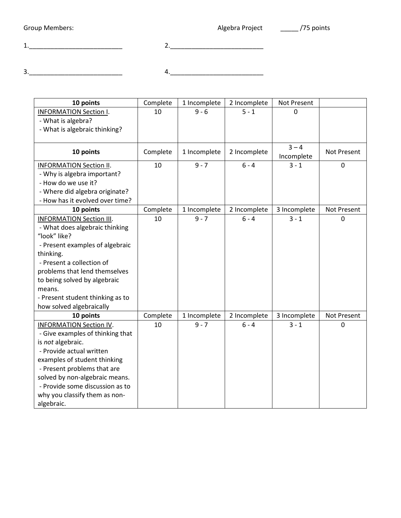Group Members: etc. Algebra Project and Members: Algebra Project and Members: 1.\_\_\_\_\_\_\_\_\_\_\_\_\_\_\_\_\_\_\_\_\_\_\_\_\_\_ 2.\_\_\_\_\_\_\_\_\_\_\_\_\_\_\_\_\_\_\_\_\_\_\_\_\_\_ 3.\_\_\_\_\_\_\_\_\_\_\_\_\_\_\_\_\_\_\_\_\_\_\_\_\_\_ 4.\_\_\_\_\_\_\_\_\_\_\_\_\_\_\_\_\_\_\_\_\_\_\_\_\_\_

| 10 points                        | Complete | 1 Incomplete | 2 Incomplete | Not Present  |                    |
|----------------------------------|----------|--------------|--------------|--------------|--------------------|
| <b>INFORMATION Section I.</b>    | 10       | $9 - 6$      | $5 - 1$      | O            |                    |
| - What is algebra?               |          |              |              |              |                    |
| - What is algebraic thinking?    |          |              |              |              |                    |
|                                  |          |              |              |              |                    |
| 10 points                        | Complete | 1 Incomplete | 2 Incomplete | $3 - 4$      | <b>Not Present</b> |
|                                  |          |              |              | Incomplete   |                    |
| <b>INFORMATION Section II.</b>   | 10       | $9 - 7$      | $6 - 4$      | $3 - 1$      | $\mathbf 0$        |
| - Why is algebra important?      |          |              |              |              |                    |
| - How do we use it?              |          |              |              |              |                    |
| - Where did algebra originate?   |          |              |              |              |                    |
| - How has it evolved over time?  |          |              |              |              |                    |
| 10 points                        | Complete | 1 Incomplete | 2 Incomplete | 3 Incomplete | <b>Not Present</b> |
| <b>INFORMATION Section III.</b>  | 10       | $9 - 7$      | $6 - 4$      | $3 - 1$      | $\Omega$           |
| - What does algebraic thinking   |          |              |              |              |                    |
| "look" like?                     |          |              |              |              |                    |
| - Present examples of algebraic  |          |              |              |              |                    |
| thinking.                        |          |              |              |              |                    |
| - Present a collection of        |          |              |              |              |                    |
| problems that lend themselves    |          |              |              |              |                    |
| to being solved by algebraic     |          |              |              |              |                    |
| means.                           |          |              |              |              |                    |
| - Present student thinking as to |          |              |              |              |                    |
| how solved algebraically         |          |              |              |              |                    |
| 10 points                        | Complete | 1 Incomplete | 2 Incomplete | 3 Incomplete | <b>Not Present</b> |
| <b>INFORMATION Section IV.</b>   | 10       | $9 - 7$      | $6 - 4$      | $3 - 1$      | 0                  |
| - Give examples of thinking that |          |              |              |              |                    |
| is not algebraic.                |          |              |              |              |                    |
| - Provide actual written         |          |              |              |              |                    |
| examples of student thinking     |          |              |              |              |                    |
| - Present problems that are      |          |              |              |              |                    |
| solved by non-algebraic means.   |          |              |              |              |                    |
| - Provide some discussion as to  |          |              |              |              |                    |
| why you classify them as non-    |          |              |              |              |                    |
| algebraic.                       |          |              |              |              |                    |